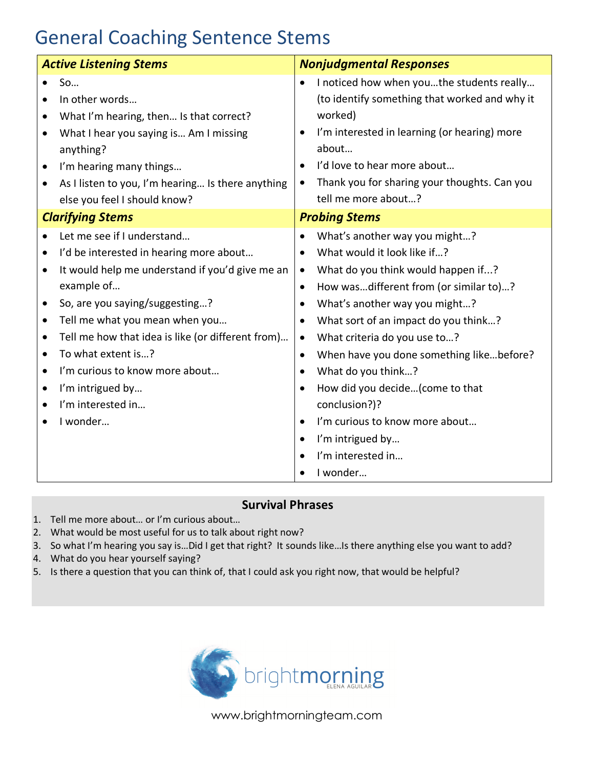## General Coaching Sentence Stems

| <b>Active Listening Stems</b>                                                                                                                                                                                                                                   |                                                                                                                                                 | <b>Nonjudgmental Responses</b>                                                                                                                                                                                                                                                                                                                                              |
|-----------------------------------------------------------------------------------------------------------------------------------------------------------------------------------------------------------------------------------------------------------------|-------------------------------------------------------------------------------------------------------------------------------------------------|-----------------------------------------------------------------------------------------------------------------------------------------------------------------------------------------------------------------------------------------------------------------------------------------------------------------------------------------------------------------------------|
| So<br>In other words<br>What I hear you saying is Am I missing<br>$\bullet$<br>anything?<br>I'm hearing many things<br>else you feel I should know?                                                                                                             | What I'm hearing, then Is that correct?<br>As I listen to you, I'm hearing Is there anything                                                    | I noticed how when youthe students really<br>(to identify something that worked and why it<br>worked)<br>I'm interested in learning (or hearing) more<br>about<br>I'd love to hear more about<br>Thank you for sharing your thoughts. Can you<br>tell me more about?                                                                                                        |
| <b>Clarifying Stems</b>                                                                                                                                                                                                                                         |                                                                                                                                                 | <b>Probing Stems</b>                                                                                                                                                                                                                                                                                                                                                        |
| Let me see if I understand<br>$\bullet$<br>$\bullet$<br>example of<br>So, are you saying/suggesting?<br>$\bullet$<br>Tell me what you mean when you<br>$\bullet$<br>$\bullet$<br>To what extent is?<br>$\bullet$<br>I'm curious to know more about<br>$\bullet$ | I'd be interested in hearing more about<br>It would help me understand if you'd give me an<br>Tell me how that idea is like (or different from) | What's another way you might?<br>What would it look like if?<br>What do you think would happen if?<br>How wasdifferent from (or similar to)?<br>$\bullet$<br>What's another way you might?<br>$\bullet$<br>What sort of an impact do you think?<br>What criteria do you use to?<br>When have you done something likebefore?<br>$\bullet$<br>What do you think?<br>$\bullet$ |
| I'm intrigued by<br>$\bullet$<br>I'm interested in<br>$\bullet$<br>I wonder                                                                                                                                                                                     |                                                                                                                                                 | How did you decide(come to that<br>$\bullet$<br>conclusion?)?<br>I'm curious to know more about<br>$\bullet$<br>I'm intrigued by<br>$\bullet$<br>I'm interested in<br>$\bullet$<br>I wonder                                                                                                                                                                                 |

## **Survival Phrases**

- 1. Tell me more about… or I'm curious about…
- 2. What would be most useful for us to talk about right now?
- 3. So what I'm hearing you say is…Did I get that right? It sounds like…Is there anything else you want to add?
- 4. What do you hear yourself saying?
- 5. Is there a question that you can think of, that I could ask you right now, that would be helpful?



www.brightmorningteam.com